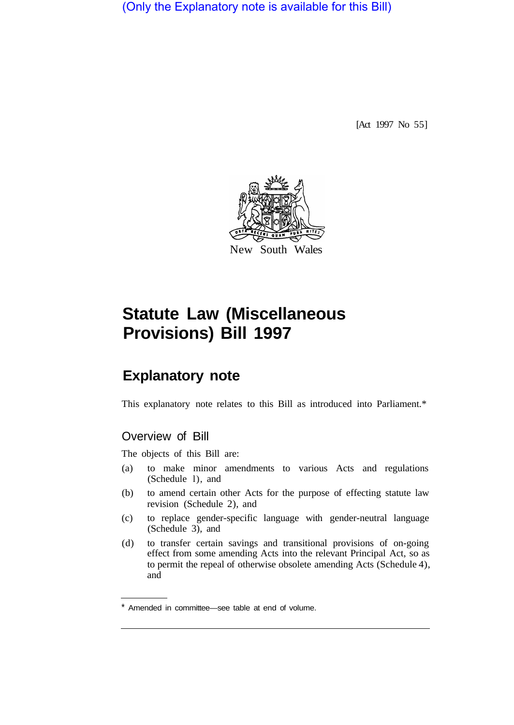(Only the Explanatory note is available for this Bill)

[Act 1997 No 55]



# **Statute Law (Miscellaneous Provisions) Bill 1997**

## **Explanatory note**

This explanatory note relates to this Bill as introduced into Parliament.\*

### Overview of Bill

The objects of this Bill are:

- (a) to make minor amendments to various Acts and regulations (Schedule l), and
- (b) to amend certain other Acts for the purpose of effecting statute law revision (Schedule 2), and
- (c) to replace gender-specific language with gender-neutral language (Schedule 3), and
- (d) to transfer certain savings and transitional provisions of on-going effect from some amending Acts into the relevant Principal Act, so as to permit the repeal of otherwise obsolete amending Acts (Schedule 4), and

<sup>\*</sup> Amended in committee—see table at end of volume.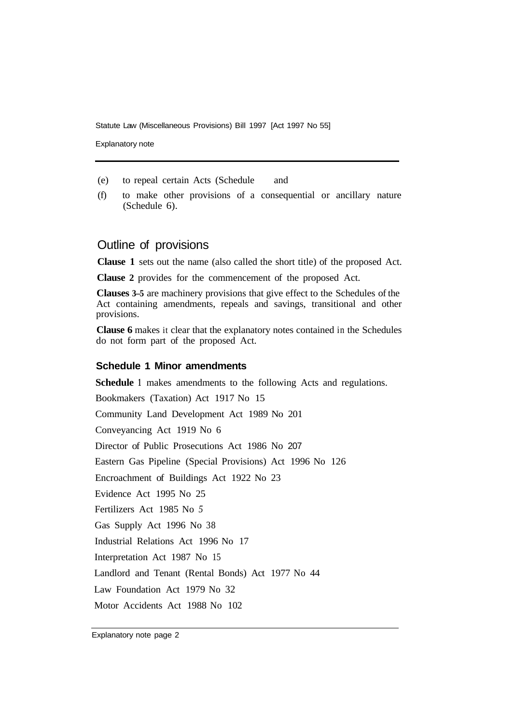Statute Law (Miscellaneous Provisions) Bill 1997 [Act 1997 No 55]

Explanatory note

- (e) to repeal certain Acts (Schedule and
- (f) to make other provisions of a consequential or ancillary nature (Schedule 6).

#### Outline of provisions

**Clause 1** sets out the name (also called the short title) of the proposed Act.

**Clause 2** provides for the commencement of the proposed Act.

**Clauses 3–5** are machinery provisions that give effect to the Schedules of the Act containing amendments, repeals and savings, transitional and other provisions.

**Clause 6** makes it clear that the explanatory notes contained in the Schedules do not form part of the proposed Act.

#### **Schedule 1 Minor amendments**

**Schedule 1** makes amendments to the following Acts and regulations. Bookmakers (Taxation) Act 1917 No 15 Community Land Development Act 1989 No 201 Conveyancing Act 1919 No 6 Director of Public Prosecutions Act 1986 No 207 Eastern Gas Pipeline (Special Provisions) Act 1996 No 126 Encroachment of Buildings Act 1922 No 23 Evidence Act 1995 No 25 Fertilizers Act 1985 No *5*  Gas Supply Act 1996 No 38 Industrial Relations Act 1996 No 17 Interpretation Act 1987 No 15 Landlord and Tenant (Rental Bonds) Act 1977 No 44 Law Foundation Act 1979 No 32 Motor Accidents Act 1988 No 102

Explanatory note page 2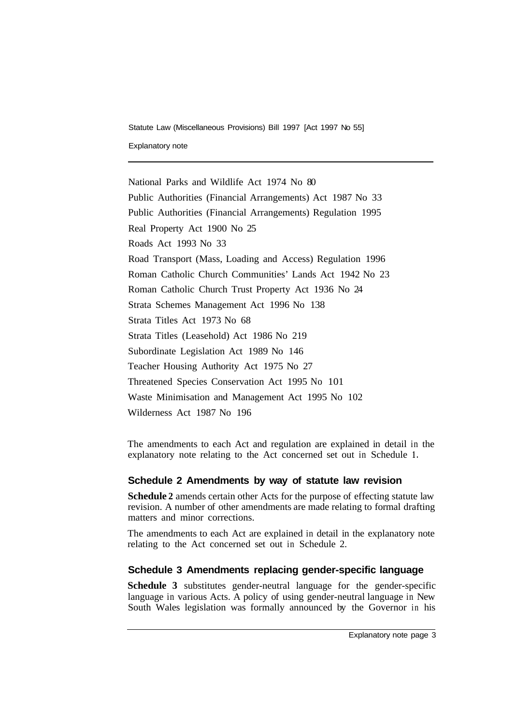Statute Law (Miscellaneous Provisions) Bill 1997 [Act 1997 No 55]

Explanatory note

National Parks and Wildlife Act 1974 No 80 Public Authorities (Financial Arrangements) Act 1987 No 33 Public Authorities (Financial Arrangements) Regulation 1995 Real Property Act 1900 No 25 Roads Act 1993 No 33 Road Transport (Mass, Loading and Access) Regulation 1996 Roman Catholic Church Communities' Lands Act 1942 No 23 Roman Catholic Church Trust Property Act 1936 No 24 Strata Schemes Management Act 1996 No 138 Strata Titles Act 1973 No 68 Strata Titles (Leasehold) Act 1986 No 219 Subordinate Legislation Act 1989 No 146 Teacher Housing Authority Act 1975 No 27 Threatened Species Conservation Act 1995 No 101 Waste Minimisation and Management Act 1995 No 102 Wilderness Act 1987 No 196

The amendments to each Act and regulation are explained in detail in the explanatory note relating to the Act concerned set out in Schedule **1.** 

#### **Schedule 2 Amendments by way of statute law revision**

**Schedule 2** amends certain other Acts for the purpose of effecting statute law revision. A number of other amendments are made relating to formal drafting matters and minor corrections.

The amendments to each Act are explained in detail in the explanatory note relating to the Act concerned set out in Schedule 2.

#### **Schedule 3 Amendments replacing gender-specific language**

**Schedule 3** substitutes gender-neutral language for the gender-specific language in various Acts. A policy of using gender-neutral language in New South Wales legislation was formally announced by the Governor in his